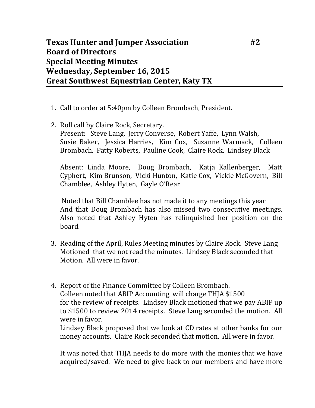## **Texas Hunter and Jumper Association #2 Board of Directors Special Meeting Minutes Wednesday, September 16, 2015 Great Southwest Equestrian Center, Katy TX**

- 1. Call to order at 5:40pm by Colleen Brombach, President.
- 2. Roll call by Claire Rock, Secretary. Present: Steve Lang, Jerry Converse, Robert Yaffe, Lynn Walsh, Susie Baker, Jessica Harries, Kim Cox, Suzanne Warmack, Colleen Brombach, Patty Roberts, Pauline Cook, Claire Rock, Lindsey Black

Absent: Linda Moore, Doug Brombach, Katja Kallenberger, Matt Cyphert, Kim Brunson, Vicki Hunton, Katie Cox, Vickie McGovern, Bill Chamblee, Ashley Hyten, Gayle O'Rear

Noted that Bill Chamblee has not made it to any meetings this year And that Doug Brombach has also missed two consecutive meetings. Also noted that Ashley Hyten has relinquished her position on the board.

- 3. Reading of the April, Rules Meeting minutes by Claire Rock. Steve Lang Motioned that we not read the minutes. Lindsey Black seconded that Motion. All were in favor.
- 4. Report of the Finance Committee by Colleen Brombach. Colleen noted that ABIP Accounting will charge THJA \$1500 for the review of receipts. Lindsey Black motioned that we pay ABIP up to \$1500 to review 2014 receipts. Steve Lang seconded the motion. All were in favor.

Lindsey Black proposed that we look at CD rates at other banks for our money accounts. Claire Rock seconded that motion. All were in favor.

It was noted that THJA needs to do more with the monies that we have acquired/saved. We need to give back to our members and have more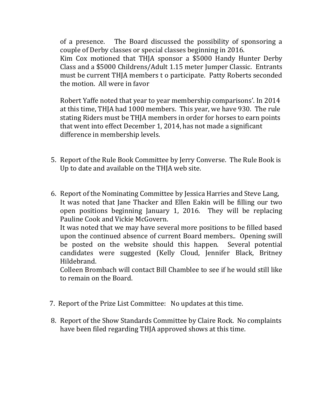of a presence. The Board discussed the possibility of sponsoring a couple of Derby classes or special classes beginning in 2016.

Kim Cox motioned that THJA sponsor a \$5000 Handy Hunter Derby Class and a \$5000 Childrens/Adult 1.15 meter Jumper Classic. Entrants must be current THJA members t o participate. Patty Roberts seconded the motion. All were in favor

Robert Yaffe noted that year to year membership comparisons'. In 2014 at this time, THJA had 1000 members. This year, we have 930. The rule stating Riders must be THJA members in order for horses to earn points that went into effect December 1, 2014, has not made a significant difference in membership levels.

- 5. Report of the Rule Book Committee by Jerry Converse. The Rule Book is Up to date and available on the THJA web site.
- 6. Report of the Nominating Committee by Jessica Harries and Steve Lang, It was noted that Jane Thacker and Ellen Eakin will be filling our two open positions beginning January 1, 2016. They will be replacing Pauline Cook and Vickie McGovern.

It was noted that we may have several more positions to be filled based upon the continued absence of current Board members.. Opening swill be posted on the website should this happen. Several potential candidates were suggested (Kelly Cloud, Jennifer Black, Britney Hildebrand.

Colleen Brombach will contact Bill Chamblee to see if he would still like to remain on the Board.

- 7. Report of the Prize List Committee: No updates at this time.
- 8. Report of the Show Standards Committee by Claire Rock. No complaints have been filed regarding THJA approved shows at this time.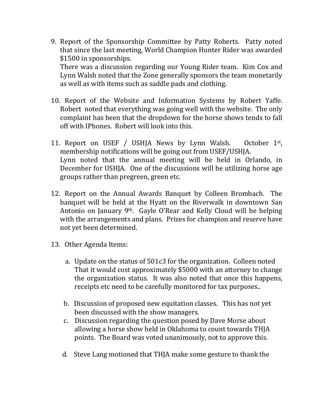9. Report of the Sponsorship Committee by Patty Roberts. Patty noted that since the last meeting, World Champion Hunter Rider was awarded \$1500 in sponsorships. There was a discussion regarding our Young Rider team. Kim Cox and

Lynn Walsh noted that the Zone generally sponsors the team monetarily as well as with items such as saddle pads and clothing.

- 10. Report of the Website and Information Systems by Robert Yaffe. Robert noted that everything was going well with the website. The only complaint has been that the dropdown for the horse shows tends to fall off with IPhones. Robert will look into this.
- 11. Report on USEF / USHJA News by Lynn Walsh. October  $1<sup>st</sup>$ , membership notifications will be going out from USEF/USHJA. Lynn noted that the annual meeting will be held in Orlando, in December for USHJA. One of the discussions will be utilizing horse age groups rather than pregreen, green etc.
- 12. Report on the Annual Awards Banquet by Colleen Brombach. The banquet will be held at the Hyatt on the Riverwalk in downtown San Antonio on January 9th. Gayle O'Rear and Kelly Cloud will be helping with the arrangements and plans. Prizes for champion and reserve have not yet been determined.
- 13. Other Agenda Items:
	- a. Update on the status of 501c3 for the organization. Colleen noted That it would cost approximately \$5000 with an attorney to change the organization status. It was also noted that once this happens, receipts etc need to be carefully monitored for tax purposes..
	- b. Discussion of proposed new equitation classes. This has not yet been discussed with the show managers.
	- c. Discussion regarding the question posed by Dave Morse about allowing a horse show held in Oklahoma to count towards THJA points. The Board was voted unanimously, not to approve this.
	- d. Steve Lang motioned that THJA make some gesture to thank the